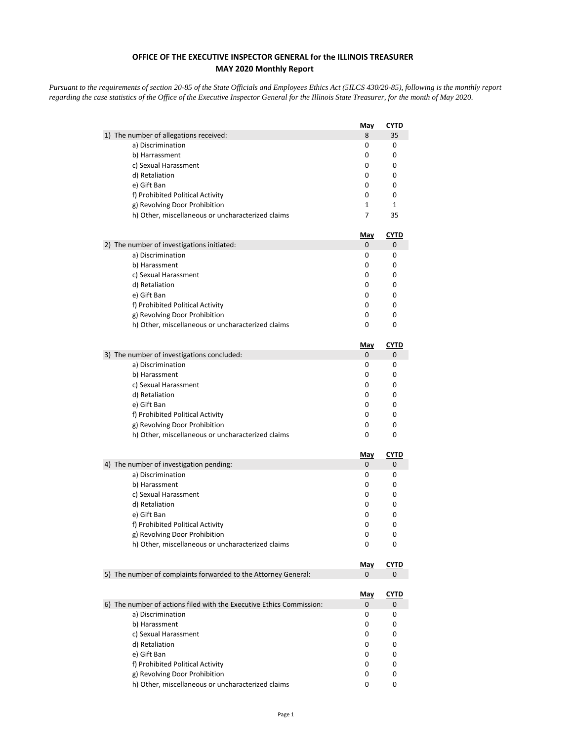## **OFFICE OF THE EXECUTIVE INSPECTOR GENERAL for the ILLINOIS TREASURER MAY 2020 Monthly Report**

*Pursuant to the requirements of section 20-85 of the State Officials and Employees Ethics Act (5ILCS 430/20-85), following is the monthly report regarding the case statistics of the Office of the Executive Inspector General for the Illinois State Treasurer, for the month of May 2020.* 

|                                                                      | <b>May</b> | <b>CYTD</b>  |
|----------------------------------------------------------------------|------------|--------------|
| 1) The number of allegations received:                               | 8          | 35           |
| a) Discrimination                                                    | 0          | 0            |
| b) Harrassment                                                       | 0          | 0            |
| c) Sexual Harassment                                                 | 0          | 0            |
| d) Retaliation                                                       | 0          | 0            |
| e) Gift Ban                                                          | 0          | 0            |
| f) Prohibited Political Activity                                     | 0          | 0            |
| g) Revolving Door Prohibition                                        | 1          | $\mathbf{1}$ |
| h) Other, miscellaneous or uncharacterized claims                    | 7          | 35           |
|                                                                      | May        | <u>CYTD</u>  |
| 2) The number of investigations initiated:                           | 0          | 0            |
| a) Discrimination                                                    | 0          | 0            |
| b) Harassment                                                        | 0          | 0            |
| c) Sexual Harassment                                                 | 0          | 0            |
| d) Retaliation                                                       | 0          | 0            |
| e) Gift Ban                                                          | 0          | 0            |
| f) Prohibited Political Activity                                     | 0          | 0            |
| g) Revolving Door Prohibition                                        | 0          | 0            |
| h) Other, miscellaneous or uncharacterized claims                    | 0          | 0            |
|                                                                      | <u>May</u> | <b>CYTD</b>  |
| 3) The number of investigations concluded:                           | 0          | 0            |
| a) Discrimination                                                    | 0          | 0            |
| b) Harassment                                                        | 0          | 0            |
| c) Sexual Harassment                                                 | 0          | 0            |
| d) Retaliation                                                       | 0          | 0            |
| e) Gift Ban                                                          | 0          | 0            |
| f) Prohibited Political Activity                                     | 0          | 0            |
| g) Revolving Door Prohibition                                        | 0          | 0            |
| h) Other, miscellaneous or uncharacterized claims                    | 0          | 0            |
|                                                                      | <u>May</u> | <b>CYTD</b>  |
| 4) The number of investigation pending:                              | 0          | 0            |
| a) Discrimination                                                    | 0          | 0            |
| b) Harassment                                                        | 0          | 0            |
| c) Sexual Harassment                                                 | 0          | 0            |
| d) Retaliation                                                       | 0          | 0            |
| e) Gift Ban                                                          | 0          | 0            |
| f) Prohibited Political Activity                                     | 0          | 0            |
| g) Revolving Door Prohibition                                        | 0          | 0            |
| h) Other, miscellaneous or uncharacterized claims                    | 0          | 0            |
|                                                                      | <u>May</u> | <b>CYTD</b>  |
| 5) The number of complaints forwarded to the Attorney General:       | 0          | 0            |
|                                                                      | <u>May</u> | <u>CYTD</u>  |
| 6) The number of actions filed with the Executive Ethics Commission: | 0          | 0            |
| a) Discrimination                                                    | 0          | 0            |
| b) Harassment                                                        | 0          | 0            |
| c) Sexual Harassment                                                 | 0          | 0            |
| d) Retaliation                                                       | 0          | 0            |
| e) Gift Ban                                                          | 0          | 0            |
| f) Prohibited Political Activity                                     | 0          | 0            |
| g) Revolving Door Prohibition                                        | 0          | 0            |
| h) Other, miscellaneous or uncharacterized claims                    | 0          | 0            |